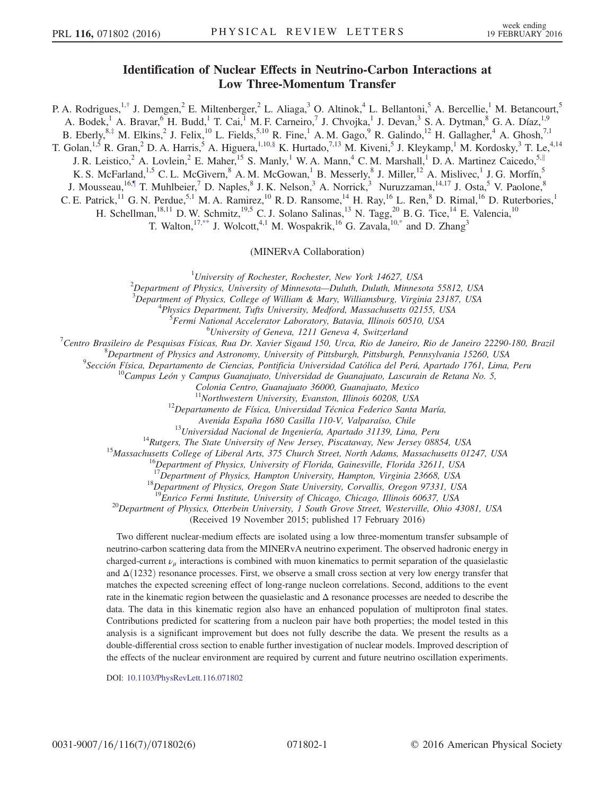## Identification of Nuclear Effects in Neutrino-Carbon Interactions at Low Three-Momentum Transfer

<span id="page-0-5"></span><span id="page-0-4"></span><span id="page-0-3"></span><span id="page-0-2"></span><span id="page-0-1"></span>P. A. Rodrigues,<sup>1,[†](#page-4-0)</sup> J. Demgen,<sup>2</sup> E. Miltenberger,<sup>2</sup> L. Aliaga,<sup>3</sup> O. Altinok,<sup>4</sup> L. Bellantoni,<sup>5</sup> A. Bercellie,<sup>1</sup> M. Betancourt,<sup>5</sup> A. Bodek,<sup>1</sup> A. Bravar,<sup>6</sup> H. Budd,<sup>1</sup> T. Cai,<sup>1</sup> M. F. Carneiro,<sup>7</sup> J. Chvojka,<sup>1</sup> J. Devan,<sup>3</sup> S. A. Dytman,<sup>8</sup> G. A. Díaz,<sup>1,9</sup> B. Eberly,  $8, \frac{1}{7}$  M. Elkins,  $2$  J. Felix,  $^{10}$  L. Fields,  $5,10$  R. Fine,  $^{1}$  A. M. Gago,  $^{9}$  R. Galindo,  $^{12}$  H. Gallagher,  $^{4}$  A. Ghosh,  $7,1$ T. Golan, <sup>1,5</sup> R. Gran, 2D. A. Harris, <sup>5</sup> A. Higuera, <sup>1,10[,§](#page-5-1)</sup> K. Hurtado,  $^{7,13}$  M. Kiveni, <sup>5</sup> J. Kleykamp, <sup>1</sup> M. Kordosky, <sup>3</sup> T. Le,  $^{4,14}$ J. R. Leistico,<sup>2</sup> A. Lovlein,<sup>2</sup> E. Maher,<sup>15</sup> S. Manly,<sup>1</sup> W. A. Mann,<sup>4</sup> C. M. Marshall,<sup>1</sup> D. A. Martinez Caicedo,<sup>5,[∥](#page-5-2)</sup> K. S. McFarland,<sup>1,5</sup> C. L. McGivern,  $8$  A. M. McGowan,  $1$  B. Messerly,  $8$  J. Miller,  $12$  A. Mislivec,  $1$  J. G. Morfín,  $5$ J. Mousseau,<sup>1[6,¶](#page-5-3)</sup> T. Muhlbeier,<sup>7</sup> D. Naples,<sup>8</sup> J. K. Nelson,<sup>3</sup> A. Norrick,<sup>3</sup> Nuruzzaman,<sup>14,17</sup> J. Osta,<sup>5</sup> V. Paolone,<sup>8</sup> C. E. Patrick,<sup>11</sup> G. N. Perdue,<sup>5,1</sup> M. A. Ramirez,<sup>10</sup> R. D. Ransome,<sup>14</sup> H. Ray,<sup>16</sup> L. Ren,<sup>8</sup> D. Rimal,<sup>16</sup> D. Ruterbories,<sup>1</sup> H. Schellman,<sup>18,11</sup> D. W. Schmitz,<sup>19,5</sup> C. J. Solano Salinas,<sup>13</sup> N. Tagg,<sup>20</sup> B. G. Tice,<sup>14</sup> E. Valencia,<sup>10</sup>

T. Walton,<sup>17[,\\*\\*](#page-5-4)</sup> J. Wolcott,<sup>4,1</sup> M. Wospakrik,<sup>16</sup> G. Zavala,<sup>10[,\\*](#page-4-1)</sup> and D. Zhang<sup>3</sup>

(MINERvA Collaboration)

<span id="page-0-0"></span><sup>1</sup>University of Rochester, Rochester, New York 14627, USA<br><sup>2</sup>Department of Physics, University of Minnesota, Dulyth, Dulyth, Minnesot

 $^{2}$ Department of Physics, University of Minnesota—Duluth, Duluth, Minnesota 55812, USA

 $3$ Department of Physics, College of William & Mary, Williamsburg, Virginia 23187, USA

<sup>4</sup>Physics Department, Tufts University, Medford, Massachusetts 02155, USA

Fermi National Accelerator Laboratory, Batavia, Illinois 60510, USA<br><sup>6</sup>University of Geneva, 1211 Geneva 4, Switzerland

University of Geneva, 1211 Geneva 4, Switzerland<br>Centre Presileire de Pesquiers Físices, Pue Dr. Vavier Sigaud 150, Urea, Pie de Jane

Centro Brasileiro de Pesquisas Físicas, Rua Dr. Xavier Sigaud 150, Urca, Rio de Janeiro, Rio de Janeiro 22290-180, Brazil<br>8 Septembre - Sanctinant of Physics and Astronomy University of Pittsburch, Bittsburch, Bannsylvania

<sup>8</sup>Department of Physics and Astronomy, University of Pittsburgh, Pittsburgh, Pennsylvania 15260, USA<br><sup>9</sup>Sección Física, Departamento de Ciencias, Pontificia Universidad Católica del Perú, Apartado 1761, Lima, Peru

 $^{10}$ Campus León y Campus Guanajuato, Universidad de Guanajuato, Lascurain de Retana No. 5,

Colonia Centro, Guanajuato 36000, Guanajuato, Mexico

 $12$ Departamento de Física, Universidad Técnica Federico Santa María,

Avenida España 1680 Casilla 110-V, Valparaíso, Chile<br><sup>13</sup>Universidad Nacional de Ingeniería, Apartado 31139, Lima, Peru<br><sup>14</sup>Rutgers, The State University of New Jersey, Piscataway, New Jersey 08854, USA<br><sup>15</sup>Massachusetts C

<sup>17</sup>Department of Physics, Hampton University, Hampton, Virginia 23668, USA <sup>18</sup>Department of Physics, Oregon State University, Corvallis, Oregon 97331, USA <sup>19</sup>Enrico Fermi Institute, University of Chicago, Chicago, Illi

 $10^{20}$ Department of Physics, Otterbein University, 1 South Grove Street, Westerville, Ohio 43081, USA

(Received 19 November 2015; published 17 February 2016)

Two different nuclear-medium effects are isolated using a low three-momentum transfer subsample of neutrino-carbon scattering data from the MINERvA neutrino experiment. The observed hadronic energy in charged-current  $\nu_{\mu}$  interactions is combined with muon kinematics to permit separation of the quasielastic and  $\Delta(1232)$  resonance processes. First, we observe a small cross section at very low energy transfer that matches the expected screening effect of long-range nucleon correlations. Second, additions to the event rate in the kinematic region between the quasielastic and  $\Delta$  resonance processes are needed to describe the data. The data in this kinematic region also have an enhanced population of multiproton final states. Contributions predicted for scattering from a nucleon pair have both properties; the model tested in this analysis is a significant improvement but does not fully describe the data. We present the results as a double-differential cross section to enable further investigation of nuclear models. Improved description of the effects of the nuclear environment are required by current and future neutrino oscillation experiments.

DOI: [10.1103/PhysRevLett.116.071802](http://dx.doi.org/10.1103/PhysRevLett.116.071802)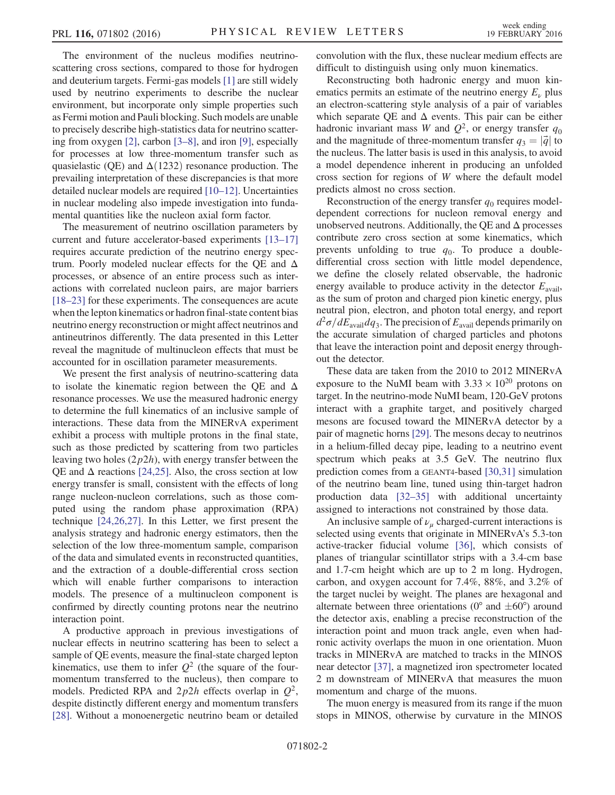The environment of the nucleus modifies neutrinoscattering cross sections, compared to those for hydrogen and deuterium targets. Fermi-gas models [\[1\]](#page-5-5) are still widely used by neutrino experiments to describe the nuclear environment, but incorporate only simple properties such as Fermi motion and Pauli blocking. Such models are unable to precisely describe high-statistics data for neutrino scattering from oxygen [\[2\],](#page-5-6) carbon [3–[8\],](#page-5-7) and iron [\[9\]](#page-5-8), especially for processes at low three-momentum transfer such as quasielastic (QE) and  $\Delta(1232)$  resonance production. The prevailing interpretation of these discrepancies is that more detailed nuclear models are required [10–[12\].](#page-5-9) Uncertainties in nuclear modeling also impede investigation into fundamental quantities like the nucleon axial form factor.

The measurement of neutrino oscillation parameters by current and future accelerator-based experiments [\[13](#page-5-10)–17] requires accurate prediction of the neutrino energy spectrum. Poorly modeled nuclear effects for the QE and  $\Delta$ processes, or absence of an entire process such as interactions with correlated nucleon pairs, are major barriers [\[18](#page-5-11)–23] for these experiments. The consequences are acute when the lepton kinematics or hadron final-state content bias neutrino energy reconstruction or might affect neutrinos and antineutrinos differently. The data presented in this Letter reveal the magnitude of multinucleon effects that must be accounted for in oscillation parameter measurements.

We present the first analysis of neutrino-scattering data to isolate the kinematic region between the QE and  $\Delta$ resonance processes. We use the measured hadronic energy to determine the full kinematics of an inclusive sample of interactions. These data from the MINERvA experiment exhibit a process with multiple protons in the final state, such as those predicted by scattering from two particles leaving two holes  $(2p2h)$ , with energy transfer between the QE and  $\Delta$  reactions [\[24,25\]](#page-5-12). Also, the cross section at low energy transfer is small, consistent with the effects of long range nucleon-nucleon correlations, such as those computed using the random phase approximation (RPA) technique [\[24,26,27\]](#page-5-12). In this Letter, we first present the analysis strategy and hadronic energy estimators, then the selection of the low three-momentum sample, comparison of the data and simulated events in reconstructed quantities, and the extraction of a double-differential cross section which will enable further comparisons to interaction models. The presence of a multinucleon component is confirmed by directly counting protons near the neutrino interaction point.

A productive approach in previous investigations of nuclear effects in neutrino scattering has been to select a sample of QE events, measure the final-state charged lepton kinematics, use them to infer  $Q^2$  (the square of the fourmomentum transferred to the nucleus), then compare to models. Predicted RPA and  $2p2h$  effects overlap in  $Q^2$ , despite distinctly different energy and momentum transfers [\[28\]](#page-5-13). Without a monoenergetic neutrino beam or detailed convolution with the flux, these nuclear medium effects are difficult to distinguish using only muon kinematics.

Reconstructing both hadronic energy and muon kinematics permits an estimate of the neutrino energy  $E<sub>\nu</sub>$  plus an electron-scattering style analysis of a pair of variables which separate QE and  $\Delta$  events. This pair can be either hadronic invariant mass W and  $Q^2$ , or energy transfer  $q_0$ and the magnitude of three-momentum transfer  $q_3 = |\vec{q}|$  to the nucleus. The latter basis is used in this analysis, to avoid a model dependence inherent in producing an unfolded cross section for regions of W where the default model predicts almost no cross section.

Reconstruction of the energy transfer  $q_0$  requires modeldependent corrections for nucleon removal energy and unobserved neutrons. Additionally, the QE and  $\Delta$  processes contribute zero cross section at some kinematics, which prevents unfolding to true  $q_0$ . To produce a doubledifferential cross section with little model dependence, we define the closely related observable, the hadronic energy available to produce activity in the detector  $E_{\text{avail}}$ , as the sum of proton and charged pion kinetic energy, plus neutral pion, electron, and photon total energy, and report  $d^2\sigma/dE_{\text{avail}}dq_3$ . The precision of  $E_{\text{avail}}$  depends primarily on the accurate simulation of charged particles and photons that leave the interaction point and deposit energy throughout the detector.

These data are taken from the 2010 to 2012 MINERvA exposure to the NuMI beam with  $3.33 \times 10^{20}$  protons on target. In the neutrino-mode NuMI beam, 120-GeV protons interact with a graphite target, and positively charged mesons are focused toward the MINERvA detector by a pair of magnetic horns [\[29\]](#page-5-14). The mesons decay to neutrinos in a helium-filled decay pipe, leading to a neutrino event spectrum which peaks at 3.5 GeV. The neutrino flux prediction comes from a GEANT4-based [\[30,31\]](#page-5-15) simulation of the neutrino beam line, tuned using thin-target hadron production data [32–[35\]](#page-5-16) with additional uncertainty assigned to interactions not constrained by those data.

An inclusive sample of  $\nu_{\mu}$  charged-current interactions is selected using events that originate in MINERvA's 5.3-ton active-tracker fiducial volume [\[36\],](#page-5-17) which consists of planes of triangular scintillator strips with a 3.4-cm base and 1.7-cm height which are up to 2 m long. Hydrogen, carbon, and oxygen account for 7.4%, 88%, and 3.2% of the target nuclei by weight. The planes are hexagonal and alternate between three orientations ( $0^{\circ}$  and  $\pm 60^{\circ}$ ) around the detector axis, enabling a precise reconstruction of the interaction point and muon track angle, even when hadronic activity overlaps the muon in one orientation. Muon tracks in MINERvA are matched to tracks in the MINOS near detector [\[37\],](#page-5-18) a magnetized iron spectrometer located 2 m downstream of MINERvA that measures the muon momentum and charge of the muons.

The muon energy is measured from its range if the muon stops in MINOS, otherwise by curvature in the MINOS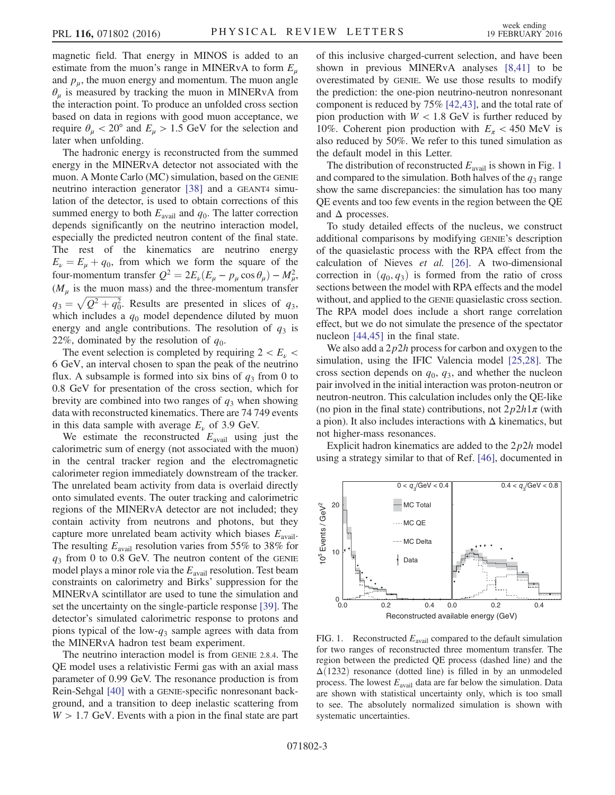magnetic field. That energy in MINOS is added to an estimate from the muon's range in MINERvA to form  $E_u$ and  $p_{\mu}$ , the muon energy and momentum. The muon angle  $\theta_{\mu}$  is measured by tracking the muon in MINERvA from the interaction point. To produce an unfolded cross section based on data in regions with good muon acceptance, we require  $\theta_{\mu}$  < 20° and  $E_{\mu}$  > 1.5 GeV for the selection and later when unfolding.

The hadronic energy is reconstructed from the summed energy in the MINERvA detector not associated with the muon. A Monte Carlo (MC) simulation, based on the GENIE neutrino interaction generator [\[38\]](#page-5-19) and a GEANT4 simulation of the detector, is used to obtain corrections of this summed energy to both  $E_{\text{avail}}$  and  $q_0$ . The latter correction depends significantly on the neutrino interaction model, especially the predicted neutron content of the final state. The rest of the kinematics are neutrino energy  $E_{\nu} = E_{\mu} + q_0$ , from which we form the square of the four-momentum transfer  $Q^2 = 2E_\nu(E_\mu - p_\mu \cos \theta_\mu) - M_\mu^2$ ,  $(M_\mu$  is the muon mass) and the three-momentum transfer  $\left(\frac{M_{\mu}}{q_3} \right)$  is the muon mass) and the three-momentum transfer<br> $q_3 = \sqrt{Q^2 + q_0^2}$ . Results are presented in slices of  $q_3$ , which includes a  $q_0$  model dependence diluted by muon energy and angle contributions. The resolution of  $q_3$  is 22%, dominated by the resolution of  $q_0$ .

The event selection is completed by requiring  $2 < E_{\nu}$ 6 GeV, an interval chosen to span the peak of the neutrino flux. A subsample is formed into six bins of  $q_3$  from 0 to 0.8 GeV for presentation of the cross section, which for brevity are combined into two ranges of  $q_3$  when showing data with reconstructed kinematics. There are 74 749 events in this data sample with average  $E_{\nu}$  of 3.9 GeV.

We estimate the reconstructed  $E_{\text{avail}}$  using just the calorimetric sum of energy (not associated with the muon) in the central tracker region and the electromagnetic calorimeter region immediately downstream of the tracker. The unrelated beam activity from data is overlaid directly onto simulated events. The outer tracking and calorimetric regions of the MINERvA detector are not included; they contain activity from neutrons and photons, but they capture more unrelated beam activity which biases  $E_{\text{avail}}$ . The resulting  $E_{\text{avail}}$  resolution varies from 55% to 38% for  $q_3$  from 0 to 0.8 GeV. The neutron content of the GENIE model plays a minor role via the  $E_{\text{avail}}$  resolution. Test beam constraints on calorimetry and Birks' suppression for the MINERvA scintillator are used to tune the simulation and set the uncertainty on the single-particle response [\[39\].](#page-5-20) The detector's simulated calorimetric response to protons and pions typical of the low- $q_3$  sample agrees with data from the MINERvA hadron test beam experiment.

The neutrino interaction model is from GENIE 2.8.4. The QE model uses a relativistic Fermi gas with an axial mass parameter of 0.99 GeV. The resonance production is from Rein-Sehgal [\[40\]](#page-5-21) with a GENIE-specific nonresonant background, and a transition to deep inelastic scattering from  $W > 1.7$  GeV. Events with a pion in the final state are part of this inclusive charged-current selection, and have been shown in previous MINERvA analyses [\[8,41\]](#page-5-22) to be overestimated by GENIE. We use those results to modify the prediction: the one-pion neutrino-neutron nonresonant component is reduced by 75% [\[42,43\]](#page-5-23), and the total rate of pion production with  $W < 1.8$  GeV is further reduced by 10%. Coherent pion production with  $E_\pi < 450$  MeV is also reduced by 50%. We refer to this tuned simulation as the default model in this Letter.

The distribution of reconstructed  $E_{\text{avail}}$  is shown in Fig. [1](#page-2-0) and compared to the simulation. Both halves of the  $q_3$  range show the same discrepancies: the simulation has too many QE events and too few events in the region between the QE and  $\Delta$  processes.

To study detailed effects of the nucleus, we construct additional comparisons by modifying GENIE's description of the quasielastic process with the RPA effect from the calculation of Nieves et al. [\[26\].](#page-5-24) A two-dimensional correction in  $(q_0, q_3)$  is formed from the ratio of cross sections between the model with RPA effects and the model without, and applied to the GENIE quasielastic cross section. The RPA model does include a short range correlation effect, but we do not simulate the presence of the spectator nucleon [\[44,45\]](#page-5-25) in the final state.

We also add a  $2p2h$  process for carbon and oxygen to the simulation, using the IFIC Valencia model [\[25,28\].](#page-5-26) The cross section depends on  $q_0$ ,  $q_3$ , and whether the nucleon pair involved in the initial interaction was proton-neutron or neutron-neutron. This calculation includes only the QE-like (no pion in the final state) contributions, not  $2p2h1\pi$  (with a pion). It also includes interactions with  $\Delta$  kinematics, but not higher-mass resonances.

Explicit hadron kinematics are added to the  $2p2h$  model using a strategy similar to that of Ref. [\[46\],](#page-5-27) documented in

<span id="page-2-0"></span>

FIG. 1. Reconstructed  $E_{\text{avail}}$  compared to the default simulation for two ranges of reconstructed three momentum transfer. The region between the predicted QE process (dashed line) and the  $\Delta(1232)$  resonance (dotted line) is filled in by an unmodeled process. The lowest  $E_{\text{avail}}$  data are far below the simulation. Data are shown with statistical uncertainty only, which is too small to see. The absolutely normalized simulation is shown with systematic uncertainties.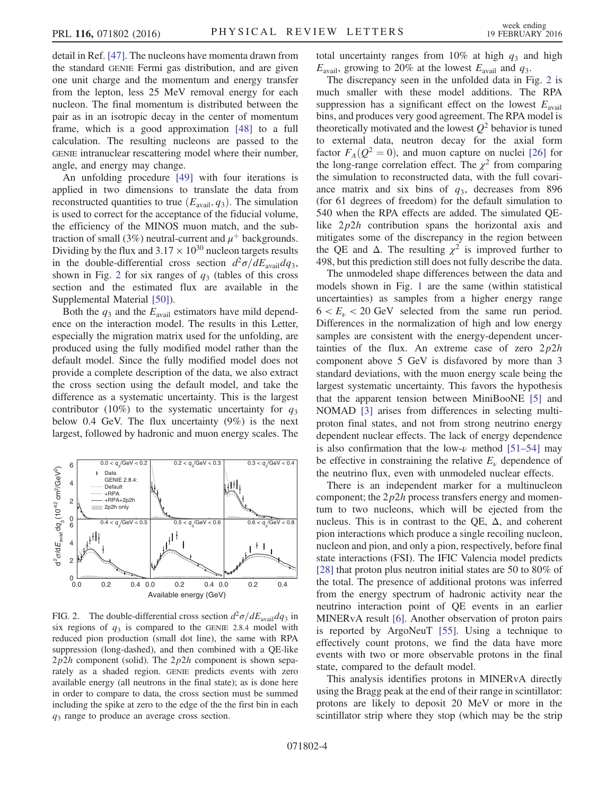detail in Ref. [\[47\]](#page-5-28). The nucleons have momenta drawn from the standard GENIE Fermi gas distribution, and are given one unit charge and the momentum and energy transfer from the lepton, less 25 MeV removal energy for each nucleon. The final momentum is distributed between the pair as in an isotropic decay in the center of momentum frame, which is a good approximation [\[48\]](#page-5-29) to a full calculation. The resulting nucleons are passed to the GENIE intranuclear rescattering model where their number, angle, and energy may change.

An unfolding procedure [\[49\]](#page-5-30) with four iterations is applied in two dimensions to translate the data from reconstructed quantities to true  $(E_{\text{avail}}, q_3)$ . The simulation is used to correct for the acceptance of the fiducial volume, the efficiency of the MINOS muon match, and the subtraction of small (3%) neutral-current and  $\mu^+$  backgrounds. Dividing by the flux and  $3.17 \times 10^{30}$  nucleon targets results in the double-differential cross section  $d^2\sigma/dE_{\text{avail}}dq_3$ , shown in Fig. [2](#page-3-0) for six ranges of  $q_3$  (tables of this cross section and the estimated flux are available in the Supplemental Material [\[50\]\)](#page-5-31).

Both the  $q_3$  and the  $E_{\text{avail}}$  estimators have mild dependence on the interaction model. The results in this Letter, especially the migration matrix used for the unfolding, are produced using the fully modified model rather than the default model. Since the fully modified model does not provide a complete description of the data, we also extract the cross section using the default model, and take the difference as a systematic uncertainty. This is the largest contributor (10%) to the systematic uncertainty for  $q_3$ below 0.4 GeV. The flux uncertainty (9%) is the next largest, followed by hadronic and muon energy scales. The

<span id="page-3-0"></span>

FIG. 2. The double-differential cross section  $d^2\sigma/dE_{\text{avail}}dq_3$  in six regions of  $q_3$  is compared to the GENIE 2.8.4 model with reduced pion production (small dot line), the same with RPA suppression (long-dashed), and then combined with a QE-like  $2p2h$  component (solid). The  $2p2h$  component is shown separately as a shaded region. GENIE predicts events with zero available energy (all neutrons in the final state); as is done here in order to compare to data, the cross section must be summed including the spike at zero to the edge of the the first bin in each  $q_3$  range to produce an average cross section.

total uncertainty ranges from 10% at high  $q_3$  and high  $E_{\text{avail}}$ , growing to 20% at the lowest  $E_{\text{avail}}$  and  $q_3$ .

The discrepancy seen in the unfolded data in Fig. [2](#page-3-0) is much smaller with these model additions. The RPA suppression has a significant effect on the lowest  $E_{\text{avail}}$ bins, and produces very good agreement. The RPA model is theoretically motivated and the lowest  $Q^2$  behavior is tuned to external data, neutron decay for the axial form factor  $F_A(Q^2 = 0)$ , and muon capture on nuclei [\[26\]](#page-5-24) for the long-range correlation effect. The  $\chi^2$  from comparing the simulation to reconstructed data, with the full covariance matrix and six bins of  $q_3$ , decreases from 896 (for 61 degrees of freedom) for the default simulation to 540 when the RPA effects are added. The simulated QElike  $2p2h$  contribution spans the horizontal axis and mitigates some of the discrepancy in the region between the QE and  $\Delta$ . The resulting  $\chi^2$  is improved further to 498, but this prediction still does not fully describe the data.

The unmodeled shape differences between the data and models shown in Fig. [1](#page-2-0) are the same (within statistical uncertainties) as samples from a higher energy range  $6 < E<sub>u</sub> < 20$  GeV selected from the same run period. Differences in the normalization of high and low energy samples are consistent with the energy-dependent uncertainties of the flux. An extreme case of zero  $2p2h$ component above 5 GeV is disfavored by more than 3 standard deviations, with the muon energy scale being the largest systematic uncertainty. This favors the hypothesis that the apparent tension between MiniBooNE [\[5\]](#page-5-32) and NOMAD [\[3\]](#page-5-7) arises from differences in selecting multiproton final states, and not from strong neutrino energy dependent nuclear effects. The lack of energy dependence is also confirmation that the low- $\nu$  method [51–[54\]](#page-5-33) may be effective in constraining the relative  $E<sub>ν</sub>$  dependence of the neutrino flux, even with unmodeled nuclear effects.

There is an independent marker for a multinucleon component; the  $2p2h$  process transfers energy and momentum to two nucleons, which will be ejected from the nucleus. This is in contrast to the OE,  $\Delta$ , and coherent pion interactions which produce a single recoiling nucleon, nucleon and pion, and only a pion, respectively, before final state interactions (FSI). The IFIC Valencia model predicts [\[28\]](#page-5-13) that proton plus neutron initial states are 50 to 80% of the total. The presence of additional protons was inferred from the energy spectrum of hadronic activity near the neutrino interaction point of QE events in an earlier MINERvA result [\[6\].](#page-5-34) Another observation of proton pairs is reported by ArgoNeuT [\[55\]](#page-5-35). Using a technique to effectively count protons, we find the data have more events with two or more observable protons in the final state, compared to the default model.

This analysis identifies protons in MINERvA directly using the Bragg peak at the end of their range in scintillator: protons are likely to deposit 20 MeV or more in the scintillator strip where they stop (which may be the strip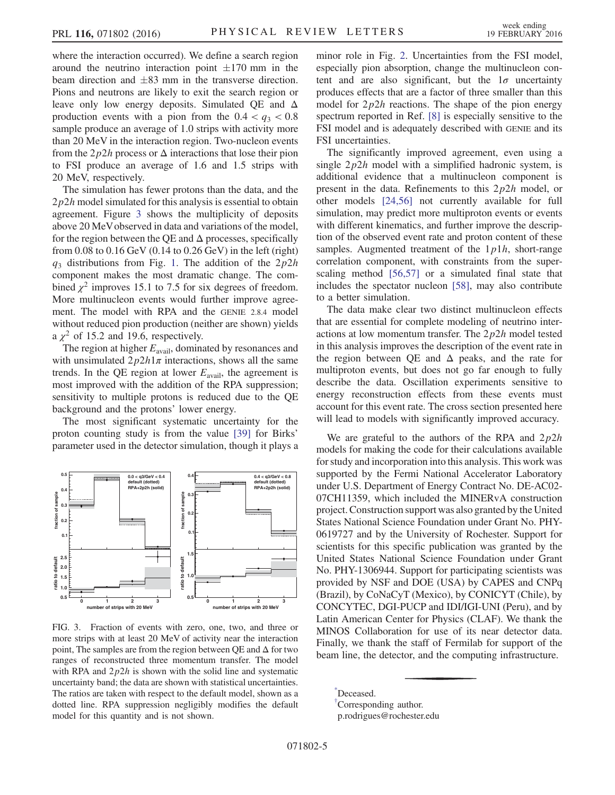where the interaction occurred). We define a search region around the neutrino interaction point  $\pm 170$  mm in the beam direction and  $\pm 83$  mm in the transverse direction. Pions and neutrons are likely to exit the search region or leave only low energy deposits. Simulated QE and Δ production events with a pion from the  $0.4 < q_3 < 0.8$ sample produce an average of 1.0 strips with activity more than 20 MeV in the interaction region. Two-nucleon events from the  $2p2h$  process or  $\Delta$  interactions that lose their pion to FSI produce an average of 1.6 and 1.5 strips with 20 MeV, respectively.

The simulation has fewer protons than the data, and the  $2p2h$  model simulated for this analysis is essential to obtain agreement. Figure [3](#page-4-2) shows the multiplicity of deposits above 20 MeVobserved in data and variations of the model, for the region between the OE and  $\Delta$  processes, specifically from  $0.08$  to  $0.16$  GeV  $(0.14$  to  $0.26$  GeV) in the left (right)  $q_3$  distributions from Fig. [1](#page-2-0). The addition of the  $2p2h$ component makes the most dramatic change. The combined  $\chi^2$  improves 15.1 to 7.5 for six degrees of freedom. More multinucleon events would further improve agreement. The model with RPA and the GENIE 2.8.4 model without reduced pion production (neither are shown) yields a  $\chi^2$  of 15.2 and 19.6, respectively.

The region at higher  $E_{\text{avail}}$ , dominated by resonances and with unsimulated  $2p2h1\pi$  interactions, shows all the same trends. In the QE region at lower  $E_{\text{avail}}$ , the agreement is most improved with the addition of the RPA suppression; sensitivity to multiple protons is reduced due to the QE background and the protons' lower energy.

The most significant systematic uncertainty for the proton counting study is from the value [\[39\]](#page-5-20) for Birks' parameter used in the detector simulation, though it plays a

<span id="page-4-2"></span>

FIG. 3. Fraction of events with zero, one, two, and three or more strips with at least 20 MeV of activity near the interaction point, The samples are from the region between QE and  $\Delta$  for two ranges of reconstructed three momentum transfer. The model with RPA and  $2p2h$  is shown with the solid line and systematic uncertainty band; the data are shown with statistical uncertainties. The ratios are taken with respect to the default model, shown as a dotted line. RPA suppression negligibly modifies the default model for this quantity and is not shown.

minor role in Fig. [2.](#page-3-0) Uncertainties from the FSI model, especially pion absorption, change the multinucleon content and are also significant, but the  $1\sigma$  uncertainty produces effects that are a factor of three smaller than this model for  $2p2h$  reactions. The shape of the pion energy spectrum reported in Ref. [\[8\]](#page-5-22) is especially sensitive to the FSI model and is adequately described with GENIE and its FSI uncertainties.

The significantly improved agreement, even using a single  $2p2h$  model with a simplified hadronic system, is additional evidence that a multinucleon component is present in the data. Refinements to this  $2p2h$  model, or other models [\[24,56\]](#page-5-12) not currently available for full simulation, may predict more multiproton events or events with different kinematics, and further improve the description of the observed event rate and proton content of these samples. Augmented treatment of the  $1p1h$ , short-range correlation component, with constraints from the superscaling method [\[56,57\]](#page-5-36) or a simulated final state that includes the spectator nucleon [\[58\],](#page-5-37) may also contribute to a better simulation.

The data make clear two distinct multinucleon effects that are essential for complete modeling of neutrino interactions at low momentum transfer. The  $2p2h$  model tested in this analysis improves the description of the event rate in the region between QE and  $\Delta$  peaks, and the rate for multiproton events, but does not go far enough to fully describe the data. Oscillation experiments sensitive to energy reconstruction effects from these events must account for this event rate. The cross section presented here will lead to models with significantly improved accuracy.

We are grateful to the authors of the RPA and  $2p2h$ models for making the code for their calculations available for study and incorporation into this analysis. This work was supported by the Fermi National Accelerator Laboratory under U.S. Department of Energy Contract No. DE-AC02- 07CH11359, which included the MINERvA construction project. Construction support was also granted by the United States National Science Foundation under Grant No. PHY-0619727 and by the University of Rochester. Support for scientists for this specific publication was granted by the United States National Science Foundation under Grant No. PHY-1306944. Support for participating scientists was provided by NSF and DOE (USA) by CAPES and CNPq (Brazil), by CoNaCyT (Mexico), by CONICYT (Chile), by CONCYTEC, DGI-PUCP and IDI/IGI-UNI (Peru), and by Latin American Center for Physics (CLAF). We thank the MINOS Collaboration for use of its near detector data. Finally, we thank the staff of Fermilab for support of the beam line, the detector, and the computing infrastructure.

<span id="page-4-1"></span><span id="page-4-0"></span>[\\*](#page-0-0) Deceased. [†](#page-0-1) Corresponding author. p.rodrigues@rochester.edu